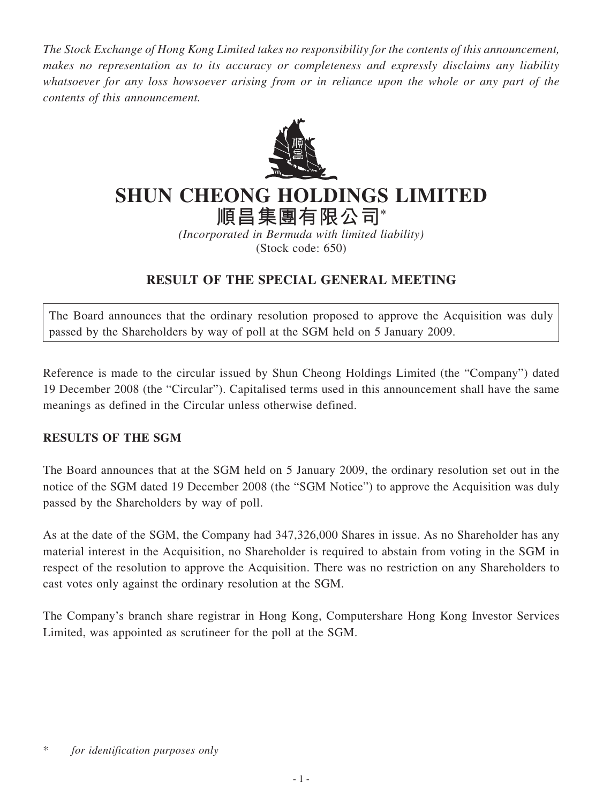*The Stock Exchange of Hong Kong Limited takes no responsibility for the contents of this announcement, makes no representation as to its accuracy or completeness and expressly disclaims any liability whatsoever for any loss howsoever arising from or in reliance upon the whole or any part of the contents of this announcement.*



## **SHUN CHEONG HOLDINGS LIMITED**

**順昌集團有限公司\***

*(Incorporated in Bermuda with limited liability)* (Stock code: 650)

## **RESULT OF THE SPECIAL GENERAL MEETING**

The Board announces that the ordinary resolution proposed to approve the Acquisition was duly passed by the Shareholders by way of poll at the SGM held on 5 January 2009.

Reference is made to the circular issued by Shun Cheong Holdings Limited (the "Company") dated 19 December 2008 (the "Circular"). Capitalised terms used in this announcement shall have the same meanings as defined in the Circular unless otherwise defined.

## **RESULTS OF THE SGM**

The Board announces that at the SGM held on 5 January 2009, the ordinary resolution set out in the notice of the SGM dated 19 December 2008 (the "SGM Notice") to approve the Acquisition was duly passed by the Shareholders by way of poll.

As at the date of the SGM, the Company had 347,326,000 Shares in issue. As no Shareholder has any material interest in the Acquisition, no Shareholder is required to abstain from voting in the SGM in respect of the resolution to approve the Acquisition. There was no restriction on any Shareholders to cast votes only against the ordinary resolution at the SGM.

The Company's branch share registrar in Hong Kong, Computershare Hong Kong Investor Services Limited, was appointed as scrutineer for the poll at the SGM.

<sup>\*</sup> *for identification purposes only*